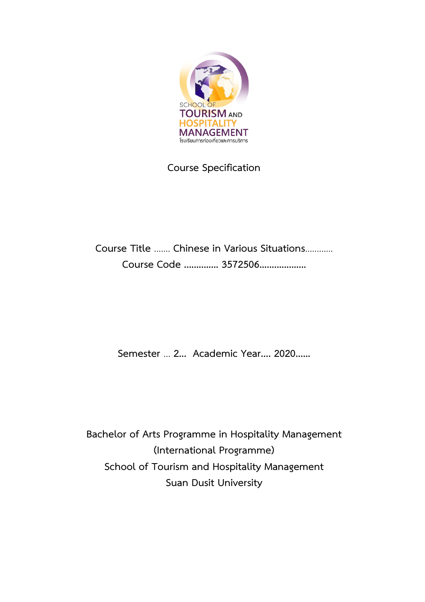

# **Course Specification**

# **Course Title** ....... **Chinese in Various Situations**............ **Course Code .............. 3572506...................**

**Semester** ... **2... Academic Year.... 2020......**

**Bachelor of Arts Programme in Hospitality Management (International Programme) School of Tourism and Hospitality Management Suan Dusit University**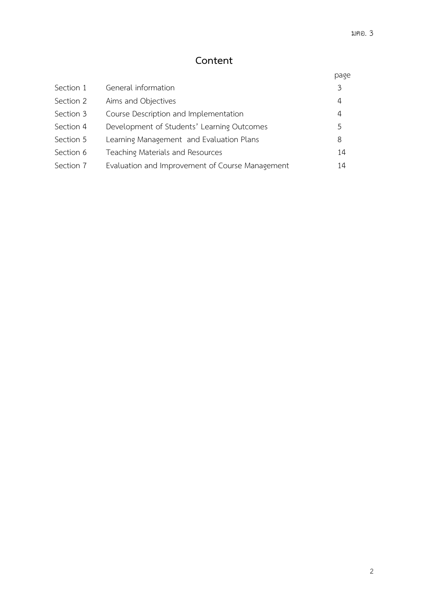# **Content**

|           |                                                 | page |
|-----------|-------------------------------------------------|------|
| Section 1 | General information                             | 3    |
| Section 2 | Aims and Objectives                             | 4    |
| Section 3 | Course Description and Implementation           | 4    |
| Section 4 | Development of Students' Learning Outcomes      | 5    |
| Section 5 | Learning Management and Evaluation Plans        | 8    |
| Section 6 | Teaching Materials and Resources                | 14   |
| Section 7 | Evaluation and Improvement of Course Management | 14   |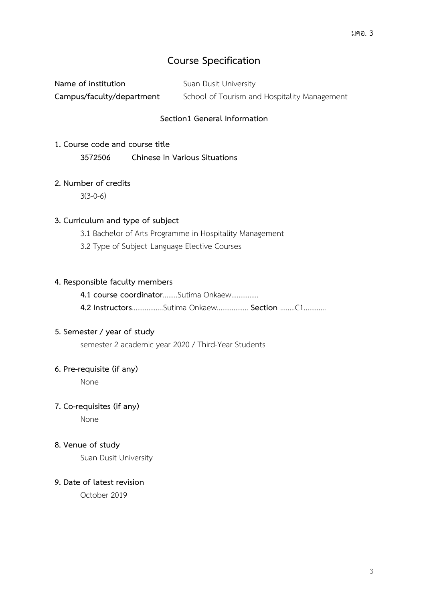# **Course Specification**

| Name of institution       | Suan Dusit University                        |
|---------------------------|----------------------------------------------|
| Campus/faculty/department | School of Tourism and Hospitality Management |

#### **Section1 General Information**

**1. Course code and course title 3572506 Chinese in Various Situations**

#### **2. Number of credits**

3(3-0-6)

#### **3. Curriculum and type of subject**

- 3.1 Bachelor of Arts Programme in Hospitality Management
- 3.2 Type of Subject Language Elective Courses

#### **4. Responsible faculty members**

**4.1 course coordinator**……..Sutima Onkaew…………… **4.2 Instructors**……………..Sutima Onkaew................. **Section** ........C1............

#### **5. Semester / year of study**

semester 2 academic year 2020 / Third-Year Students

#### **6. Pre-requisite (if any)**

None

#### **7. Co-requisites (if any)**

None

#### **8. Venue of study**

Suan Dusit University

#### **9. Date of latest revision**

October 2019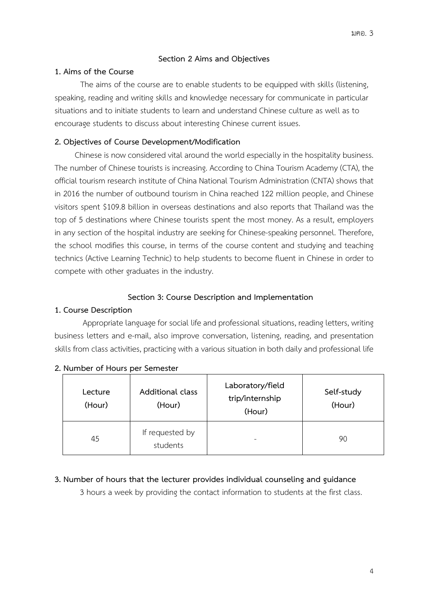#### **Section 2 Aims and Objectives**

#### **1. Aims of the Course**

The aims of the course are to enable students to be equipped with skills (listening, speaking, reading and writing skills and knowledge necessary for communicate in particular situations and to initiate students to learn and understand Chinese culture as well as to encourage students to discuss about interesting Chinese current issues.

# **2. Objectives of Course Development/Modification**

Chinese is now considered vital around the world especially in the hospitality business. The number of Chinese tourists is increasing. According to China Tourism Academy (CTA), the official tourism research instituteof China National Tourism Administration (CNTA) shows that in 2016 the number of outbound tourism in China reached 122 million people, and Chinese visitors spent \$109.8 billion in overseas destinations and also reports that Thailand was the top of 5 destinations where Chinese tourists spent the most money. As a result, employers in any section of the hospital industry are seeking for Chinese-speaking personnel. Therefore, the school modifies this course, in terms of the course content and studying and teaching technics (Active Learning Technic) to help students to become fluent in Chinese in order to compete with other graduates in the industry.

### **Section 3: Course Description and Implementation**

# **1. Course Description**

Appropriate language for social life and professional situations, reading letters, writing business letters and e-mail, also improve conversation, listening, reading, and presentation skills from class activities, practicing with a various situation in both daily and professional life

| Lecture<br>(Hour) | <b>Additional class</b><br>(Hour) | Laboratory/field<br>trip/internship<br>(Hour) | Self-study<br>(Hour) |
|-------------------|-----------------------------------|-----------------------------------------------|----------------------|
| 45                | If requested by<br>students       |                                               | 90                   |

#### **2. Number of Hours per Semester**

#### **3. Number of hours that the lecturer provides individual counseling and guidance**

3 hours a week by providing the contact information to students at the first class.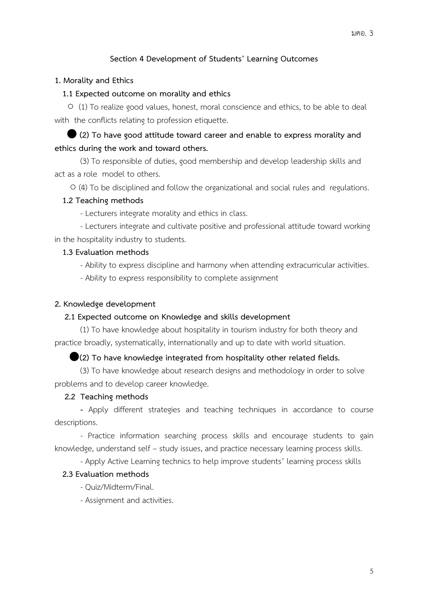# **Section 4 Development of Students' Learning Outcomes**

#### **1. Morality and Ethics**

#### **1.1 Expected outcome on morality and ethics**

 ○ (1) To realize good values, honest, moral conscience and ethics, to be able to deal with the conflicts relating to profession etiquette.

 ⬤ **(2) To have good attitude toward career and enable to express morality and ethics during the work and toward others.**

(3) To responsible of duties, good membership and develop leadership skills and act as a role model to others.

○ (4) To be disciplined and follow the organizational and social rules and regulations.

#### **1.2 Teaching methods**

- Lecturers integrate morality and ethics in class.

- Lecturers integrate and cultivate positive and professional attitude toward working in the hospitality industry to students.

#### **1.3 Evaluation methods**

- Ability to express discipline and harmony when attending extracurricular activities.

- Ability to express responsibility to complete assignment

#### **2. Knowledge development**

#### **2.1 Expected outcome on Knowledge and skills development**

(1) To have knowledge about hospitality in tourism industry for both theory and practice broadly, systematically, internationally and up to date with world situation.

#### ⬤**(2) To have knowledge integrated from hospitality other related fields.**

(3) To have knowledge about research designs and methodology in order to solve problems and to develop career knowledge.

#### **2.2 Teaching methods**

**-** Apply different strategies and teaching techniques in accordance to course descriptions.

- Practice information searching process skills and encourage students to gain knowledge, understand self – study issues, and practice necessary learning process skills.

- Apply Active Learning technics to help improve students' learning process skills

#### **2.3 Evaluation methods**

- Quiz/Midterm/Final.

- Assignment and activities.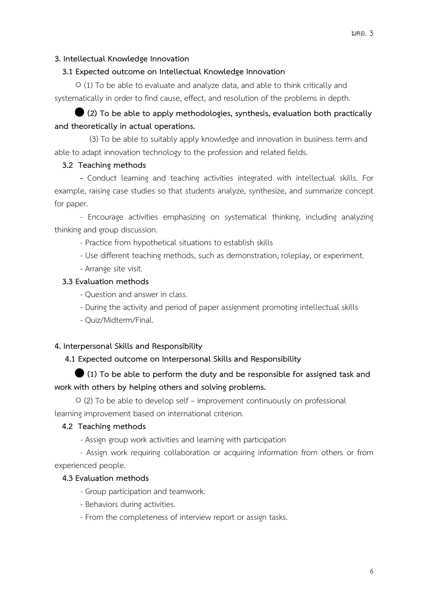#### **3. Intellectual Knowledge Innovation**

#### **3.1 Expected outcome on Intellectual Knowledge Innovation**

○ (1) To be able to evaluate and analyze data, and able to think critically and systematically in order to find cause, effect, and resolution of the problems in depth.

# ⬤ **(2) To be able to apply methodologies, synthesis, evaluation both practically and theoretically in actual operations.**

 (3) To be able to suitably apply knowledge and innovation in business term and able to adapt innovation technology to the profession and related fields.

#### **3.2 Teaching methods**

**-** Conduct learning and teaching activities integrated with intellectual skills. For example, raising case studies so that students analyze, synthesize, and summarize concept for paper.

- Encourage activities emphasizing on systematical thinking, including analyzing thinking and group discussion.

- Practice from hypothetical situations to establish skills
- Use different teaching methods, such as demonstration, roleplay, or experiment.
- Arrange site visit.

#### **3.3 Evaluation methods**

- Question and answer in class.
- During the activity and period of paper assignment promoting intellectual skills
- Quiz/Midterm/Final.

#### **4. Interpersonal Skills and Responsibility**

# **4.1 Expected outcome on Interpersonal Skills and Responsibility**

# ⬤ **(1) To be able to perform the duty and be responsible for assigned task and work with others by helping others and solving problems.**

○ (2) To be able to develop self – improvement continuously on professional learning improvement based on international criterion.

#### **4.2 Teaching methods**

- Assign group work activities and learning with participation

- Assign work requiring collaboration or acquiring information from others or from experienced people.

#### **4.3 Evaluation methods**

- Group participation and teamwork.
- Behaviors during activities.
- From the completeness of interview report or assign tasks.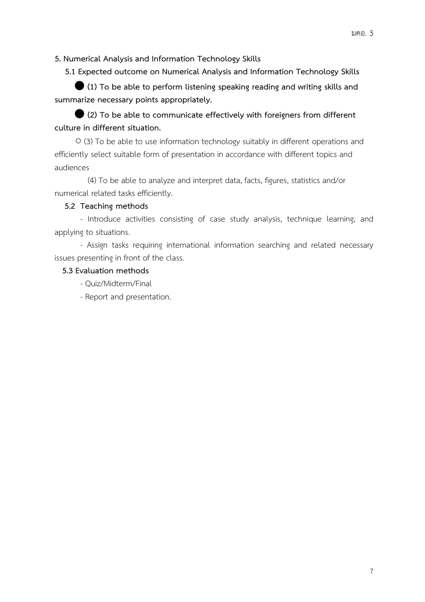**5. Numerical Analysis and Information Technology Skills**

 **5.1 Expected outcome on Numerical Analysis and Information Technology Skills**

⬤ **(1) To be able to perform listening speaking reading and writing skills and summarize necessary points appropriately.**

⬤ **(2) To be able to communicate effectively with foreigners from different culture in different situation.**

○ (3) To be able to use information technology suitably in different operations and efficiently select suitable form of presentation in accordance with different topics and audiences

 (4) To be able to analyze and interpret data, facts, figures, statistics and/or numerical related tasks efficiently.

# **5.2 Teaching methods**

- Introduce activities consisting of case study analysis, technique learning, and applying to situations.

- Assign tasks requiring international information searching and related necessary issues presenting in front of the class.

# **5.3 Evaluation methods**

- Quiz/Midterm/Final
- Report and presentation.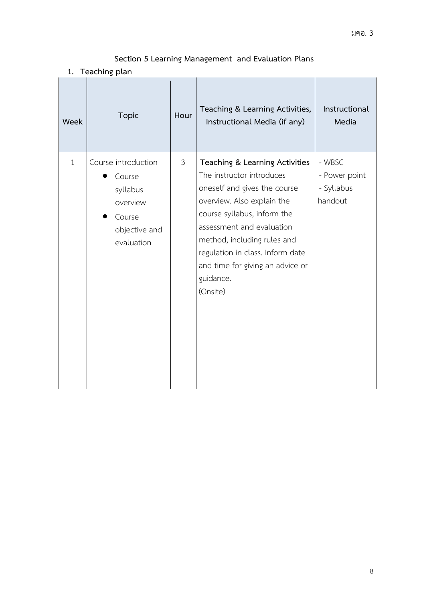# **Section 5 Learning Management and Evaluation Plans**

**1. Teaching plan**

| Week         | <b>Topic</b>                                                                                   | Hour           | Teaching & Learning Activities,<br>Instructional Media (if any)                                                                                                                                                                                                                                                       | Instructional<br>Media                           |
|--------------|------------------------------------------------------------------------------------------------|----------------|-----------------------------------------------------------------------------------------------------------------------------------------------------------------------------------------------------------------------------------------------------------------------------------------------------------------------|--------------------------------------------------|
| $\mathbf{1}$ | Course introduction<br>Course<br>syllabus<br>overview<br>Course<br>objective and<br>evaluation | $\mathfrak{Z}$ | Teaching & Learning Activities<br>The instructor introduces<br>oneself and gives the course<br>overview. Also explain the<br>course syllabus, inform the<br>assessment and evaluation<br>method, including rules and<br>regulation in class. Inform date<br>and time for giving an advice or<br>guidance.<br>(Onsite) | - WBSC<br>- Power point<br>- Syllabus<br>handout |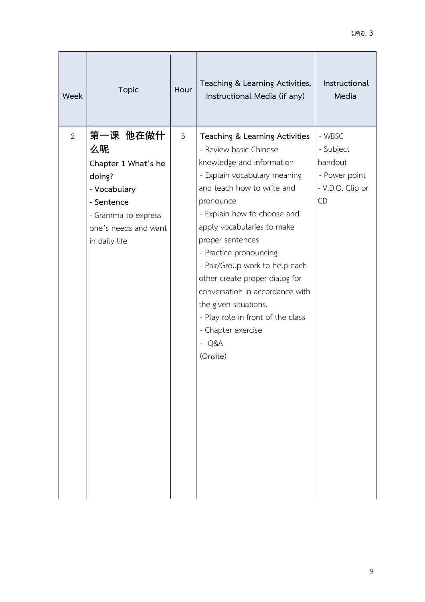| Week | <b>Topic</b>                                                                                                                                  | Hour           | Teaching & Learning Activities,<br>Instructional Media (if any)                                                                                                                                                                                                                                                                                                                                                                                                                               | Instructional<br>Media                                                           |
|------|-----------------------------------------------------------------------------------------------------------------------------------------------|----------------|-----------------------------------------------------------------------------------------------------------------------------------------------------------------------------------------------------------------------------------------------------------------------------------------------------------------------------------------------------------------------------------------------------------------------------------------------------------------------------------------------|----------------------------------------------------------------------------------|
| 2    | 第一课 他在做什<br>么呢<br>Chapter 1 What's he<br>doing?<br>- Vocabulary<br>- Sentence<br>- Gramma to express<br>one's needs and want<br>in daily life | $\mathfrak{Z}$ | Teaching & Learning Activities<br>- Review basic Chinese<br>knowledge and information<br>- Explain vocabulary meaning<br>and teach how to write and<br>pronounce<br>- Explain how to choose and<br>apply vocabularies to make<br>proper sentences<br>- Practice pronouncing<br>- Pair/Group work to help each<br>other create proper dialog for<br>conversation in accordance with<br>the given situations.<br>- Play role in front of the class<br>- Chapter exercise<br>$- Q&A$<br>(Onsite) | - WBSC<br>- Subject<br>handout<br>- Power point<br>- V.D.O. Clip or<br><b>CD</b> |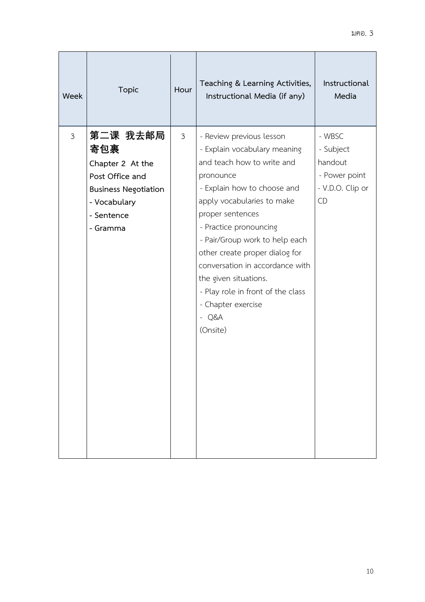| Week           | <b>Topic</b>                                                                                                                    | Hour           | Teaching & Learning Activities,<br>Instructional Media (if any)                                                                                                                                                                                                                                                                                                                                                                  | Instructional<br>Media                                                           |
|----------------|---------------------------------------------------------------------------------------------------------------------------------|----------------|----------------------------------------------------------------------------------------------------------------------------------------------------------------------------------------------------------------------------------------------------------------------------------------------------------------------------------------------------------------------------------------------------------------------------------|----------------------------------------------------------------------------------|
| $\mathfrak{Z}$ | 第二课 我去邮局<br>寄包裹<br>Chapter 2 At the<br>Post Office and<br><b>Business Negotiation</b><br>- Vocabulary<br>- Sentence<br>- Gramma | $\mathfrak{Z}$ | - Review previous lesson<br>- Explain vocabulary meaning<br>and teach how to write and<br>pronounce<br>- Explain how to choose and<br>apply vocabularies to make<br>proper sentences<br>- Practice pronouncing<br>- Pair/Group work to help each<br>other create proper dialog for<br>conversation in accordance with<br>the given situations.<br>- Play role in front of the class<br>- Chapter exercise<br>$- Q&A$<br>(Onsite) | - WBSC<br>- Subject<br>handout<br>- Power point<br>- V.D.O. Clip or<br><b>CD</b> |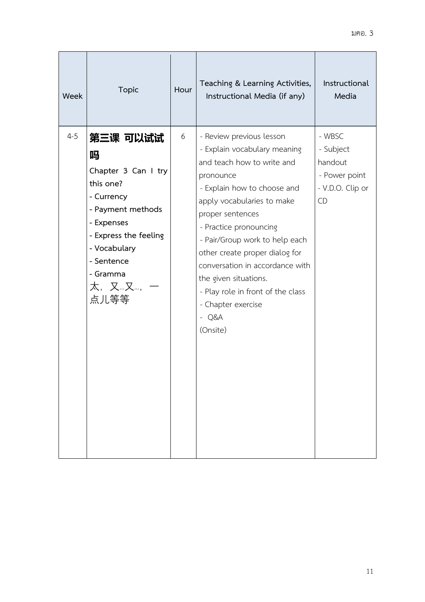| Week    | <b>Topic</b>                                                                                                                                                                              | Hour | Teaching & Learning Activities,<br>Instructional Media (if any)                                                                                                                                                                                                                                                                                                                                                                  | Instructional<br>Media                                                    |
|---------|-------------------------------------------------------------------------------------------------------------------------------------------------------------------------------------------|------|----------------------------------------------------------------------------------------------------------------------------------------------------------------------------------------------------------------------------------------------------------------------------------------------------------------------------------------------------------------------------------------------------------------------------------|---------------------------------------------------------------------------|
| $4 - 5$ | 第三课 可以试试<br>吗<br>Chapter 3 Can I try<br>this one?<br>- Currency<br>- Payment methods<br>- Expenses<br>- Express the feeling<br>- Vocabulary<br>- Sentence<br>- Gramma<br>太, 又…又…,<br>点儿等等 | 6    | - Review previous lesson<br>- Explain vocabulary meaning<br>and teach how to write and<br>pronounce<br>- Explain how to choose and<br>apply vocabularies to make<br>proper sentences<br>- Practice pronouncing<br>- Pair/Group work to help each<br>other create proper dialog for<br>conversation in accordance with<br>the given situations.<br>- Play role in front of the class<br>- Chapter exercise<br>$- Q&A$<br>(Onsite) | - WBSC<br>- Subject<br>handout<br>- Power point<br>- V.D.O. Clip or<br>CD |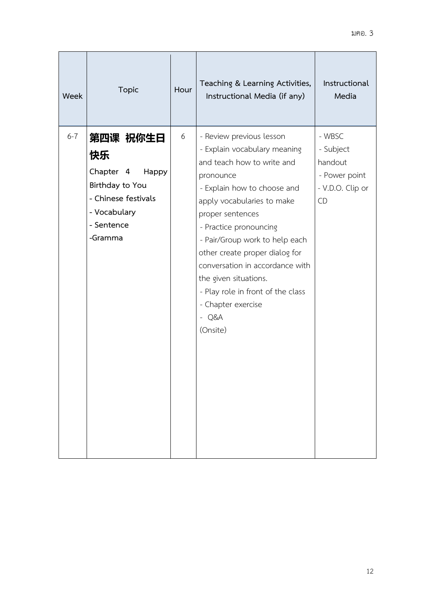| Week    | <b>Topic</b>                                                                                                            | Hour | Teaching & Learning Activities,<br>Instructional Media (if any)                                                                                                                                                                                                                                                                                                                                                                  | Instructional<br>Media                                                    |
|---------|-------------------------------------------------------------------------------------------------------------------------|------|----------------------------------------------------------------------------------------------------------------------------------------------------------------------------------------------------------------------------------------------------------------------------------------------------------------------------------------------------------------------------------------------------------------------------------|---------------------------------------------------------------------------|
| $6 - 7$ | 第四课 祝你生日<br>快乐<br>Chapter 4<br>Happy<br>Birthday to You<br>- Chinese festivals<br>- Vocabulary<br>- Sentence<br>-Gramma | 6    | - Review previous lesson<br>- Explain vocabulary meaning<br>and teach how to write and<br>pronounce<br>- Explain how to choose and<br>apply vocabularies to make<br>proper sentences<br>- Practice pronouncing<br>- Pair/Group work to help each<br>other create proper dialog for<br>conversation in accordance with<br>the given situations.<br>- Play role in front of the class<br>- Chapter exercise<br>$- Q&A$<br>(Onsite) | - WBSC<br>- Subject<br>handout<br>- Power point<br>- V.D.O. Clip or<br>CD |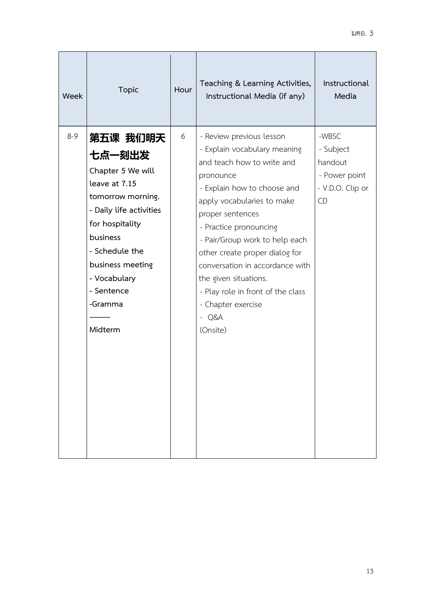| Week    | <b>Topic</b>                                                                                                                                                                                                                      | Hour | Teaching & Learning Activities,<br>Instructional Media (if any)                                                                                                                                                                                                                                                                                                                                                                  | Instructional<br>Media                                                   |
|---------|-----------------------------------------------------------------------------------------------------------------------------------------------------------------------------------------------------------------------------------|------|----------------------------------------------------------------------------------------------------------------------------------------------------------------------------------------------------------------------------------------------------------------------------------------------------------------------------------------------------------------------------------------------------------------------------------|--------------------------------------------------------------------------|
| $8 - 9$ | 第五课 我们明天<br>七点一刻出发<br>Chapter 5 We will<br>leave at 7.15<br>tomorrow morning.<br>- Daily life activities<br>for hospitality<br>business<br>- Schedule the<br>business meeting<br>- Vocabulary<br>- Sentence<br>-Gramma<br>Midterm | 6    | - Review previous lesson<br>- Explain vocabulary meaning<br>and teach how to write and<br>pronounce<br>- Explain how to choose and<br>apply vocabularies to make<br>proper sentences<br>- Practice pronouncing<br>- Pair/Group work to help each<br>other create proper dialog for<br>conversation in accordance with<br>the given situations.<br>- Play role in front of the class<br>- Chapter exercise<br>$- Q&A$<br>(Onsite) | -WBSC<br>- Subject<br>handout<br>- Power point<br>- V.D.O. Clip or<br>CD |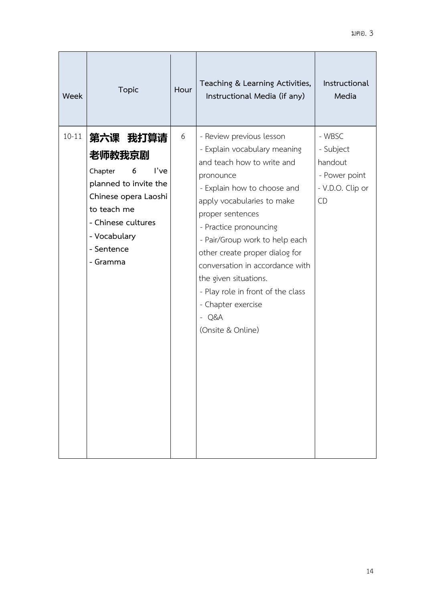| Week      | <b>Topic</b>                                                                                                                                                               | Hour | Teaching & Learning Activities,<br>Instructional Media (if any)                                                                                                                                                                                                                                                                                                                                                                           | Instructional<br>Media                                                    |
|-----------|----------------------------------------------------------------------------------------------------------------------------------------------------------------------------|------|-------------------------------------------------------------------------------------------------------------------------------------------------------------------------------------------------------------------------------------------------------------------------------------------------------------------------------------------------------------------------------------------------------------------------------------------|---------------------------------------------------------------------------|
| $10 - 11$ | 第六课 我打算请<br>老师教我京剧<br>l've<br>Chapter<br>6<br>planned to invite the<br>Chinese opera Laoshi<br>to teach me<br>- Chinese cultures<br>- Vocabulary<br>- Sentence<br>- Gramma | 6    | - Review previous lesson<br>- Explain vocabulary meaning<br>and teach how to write and<br>pronounce<br>- Explain how to choose and<br>apply vocabularies to make<br>proper sentences<br>- Practice pronouncing<br>- Pair/Group work to help each<br>other create proper dialog for<br>conversation in accordance with<br>the given situations.<br>- Play role in front of the class<br>- Chapter exercise<br>$- Q&A$<br>(Onsite & Online) | - WBSC<br>- Subject<br>handout<br>- Power point<br>- V.D.O. Clip or<br>CD |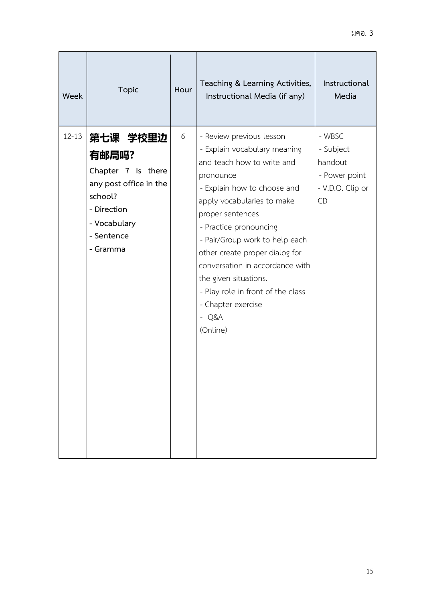| Week      | <b>Topic</b>                                                                                                                          | Hour | Teaching & Learning Activities,<br>Instructional Media (if any)                                                                                                                                                                                                                                                                                                                                                                  | Instructional<br>Media                                                           |
|-----------|---------------------------------------------------------------------------------------------------------------------------------------|------|----------------------------------------------------------------------------------------------------------------------------------------------------------------------------------------------------------------------------------------------------------------------------------------------------------------------------------------------------------------------------------------------------------------------------------|----------------------------------------------------------------------------------|
| $12 - 13$ | 第七课 学校里边<br>有邮局吗?<br>Chapter 7 Is there<br>any post office in the<br>school?<br>- Direction<br>- Vocabulary<br>- Sentence<br>- Gramma | 6    | - Review previous lesson<br>- Explain vocabulary meaning<br>and teach how to write and<br>pronounce<br>- Explain how to choose and<br>apply vocabularies to make<br>proper sentences<br>- Practice pronouncing<br>- Pair/Group work to help each<br>other create proper dialog for<br>conversation in accordance with<br>the given situations.<br>- Play role in front of the class<br>- Chapter exercise<br>$- Q&A$<br>(Online) | - WBSC<br>- Subject<br>handout<br>- Power point<br>- V.D.O. Clip or<br><b>CD</b> |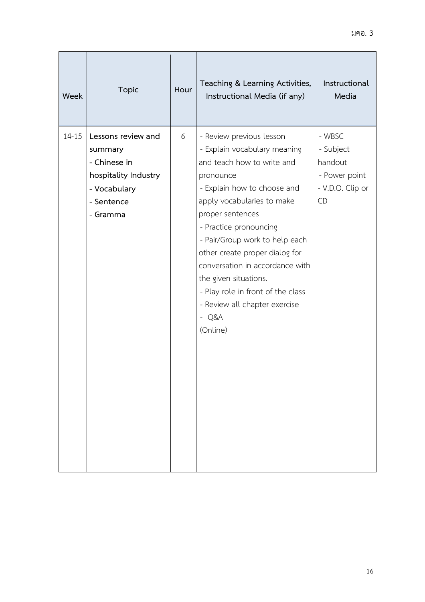| Week      | <b>Topic</b>                                                                                                    | Hour | Teaching & Learning Activities,<br>Instructional Media (if any)                                                                                                                                                                                                                                                                                                                                                                             | Instructional<br>Media                                                    |
|-----------|-----------------------------------------------------------------------------------------------------------------|------|---------------------------------------------------------------------------------------------------------------------------------------------------------------------------------------------------------------------------------------------------------------------------------------------------------------------------------------------------------------------------------------------------------------------------------------------|---------------------------------------------------------------------------|
| $14 - 15$ | Lessons review and<br>summary<br>- Chinese in<br>hospitality Industry<br>- Vocabulary<br>- Sentence<br>- Gramma | 6    | - Review previous lesson<br>- Explain vocabulary meaning<br>and teach how to write and<br>pronounce<br>- Explain how to choose and<br>apply vocabularies to make<br>proper sentences<br>- Practice pronouncing<br>- Pair/Group work to help each<br>other create proper dialog for<br>conversation in accordance with<br>the given situations.<br>- Play role in front of the class<br>- Review all chapter exercise<br>$- Q&A$<br>(Online) | - WBSC<br>- Subject<br>handout<br>- Power point<br>- V.D.O. Clip or<br>CD |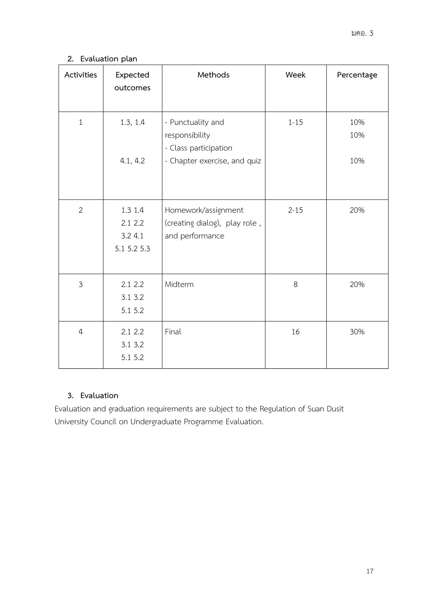# **2. Evaluation plan**

| Activities     | Expected<br>outcomes                        | Methods                                                                                      | Week     | Percentage        |
|----------------|---------------------------------------------|----------------------------------------------------------------------------------------------|----------|-------------------|
| $\mathbf{1}$   | 1.3, 1.4<br>4.1, 4.2                        | - Punctuality and<br>responsibility<br>- Class participation<br>- Chapter exercise, and quiz | $1 - 15$ | 10%<br>10%<br>10% |
|                |                                             |                                                                                              |          |                   |
| $\overline{2}$ | 1.3 1.4<br>2.1 2.2<br>3.24.1<br>5.1 5.2 5.3 | Homework/assignment<br>(creating dialog), play role,<br>and performance                      | $2 - 15$ | 20%               |
| $\overline{3}$ | 2.1 2.2<br>3.1 3.2<br>5.1 5.2               | Midterm                                                                                      | $8\,$    | 20%               |
| $\overline{4}$ | 2.1 2.2<br>3.1 3.2<br>5.1 5.2               | Final                                                                                        | 16       | 30%               |

# **3. Evaluation**

Evaluation and graduation requirements are subject to the Regulation of Suan Dusit University Council on Undergraduate Programme Evaluation.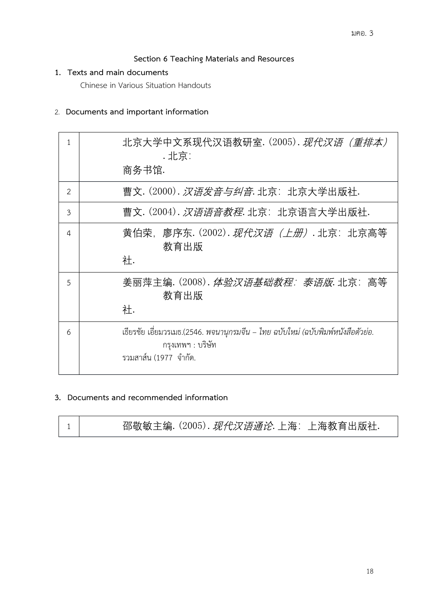# **Section 6 Teaching Materials and Resources**

#### **1. Texts and main documents**

Chinese in Various Situation Handouts

# 2. **Documents and important information**

| 1              | 北京大学中文系现代汉语教研室. (2005). <i>现代汉语(重排本)</i><br>. 北京:<br>商务书馆.                                                                     |
|----------------|--------------------------------------------------------------------------------------------------------------------------------|
| $\overline{2}$ | 曹文. (2000). 汉 <i>语发音与纠音</i> . 北京: 北京大学出版社.                                                                                     |
| 3              | 曹文. (2004). <i>汉语语音教程</i> . 北京: 北京语言大学出版社.                                                                                     |
| 4              | 黄伯荣,廖序东. (2002). <i>现代汉语 (上册)</i> . 北京: 北京高等<br>教育出版<br>社.                                                                     |
| 5              | 姜丽萍主编. (2008). <i>体验汉语基础教程: 泰语版</i> . 北京: 高等<br>教育出版<br>社.                                                                     |
| 6              | เธียรชัย เอี่ยมวรเมธ.(2546. พจนานุกรมจีน – ไทย ฉบับใหม่ (ฉบับพิมพ์หนังสือตัวย่อ.<br>กรุงเทพฯ : บริษัท<br>รวมสาส์น (1977 จำกัด. |

# **3. Documents and recommended information**

| 邵敬敏主编. (2005). <i>现代汉语通论</i> . 上海: 上海教育出版社. |
|---------------------------------------------|
|---------------------------------------------|